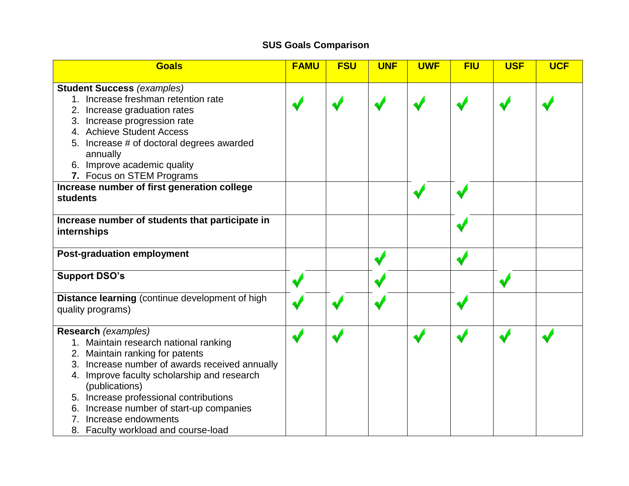## **SUS Goals Comparison**

| <b>Goals</b>                                                                                                                                                                                                                                                                                                                                                                                                | <b>FAMU</b> | <b>FSU</b> | <b>UNF</b> | <b>UWF</b> | <b>FIU</b> | <b>USF</b> | <b>UCF</b> |
|-------------------------------------------------------------------------------------------------------------------------------------------------------------------------------------------------------------------------------------------------------------------------------------------------------------------------------------------------------------------------------------------------------------|-------------|------------|------------|------------|------------|------------|------------|
| <b>Student Success (examples)</b><br>1. Increase freshman retention rate<br>2. Increase graduation rates<br>3. Increase progression rate<br>4. Achieve Student Access<br>5. Increase # of doctoral degrees awarded<br>annually<br>6. Improve academic quality<br>7. Focus on STEM Programs                                                                                                                  |             |            |            |            |            |            |            |
| Increase number of first generation college<br><b>students</b>                                                                                                                                                                                                                                                                                                                                              |             |            |            |            |            |            |            |
| Increase number of students that participate in<br>internships                                                                                                                                                                                                                                                                                                                                              |             |            |            |            |            |            |            |
| <b>Post-graduation employment</b>                                                                                                                                                                                                                                                                                                                                                                           |             |            |            |            |            |            |            |
| <b>Support DSO's</b>                                                                                                                                                                                                                                                                                                                                                                                        |             |            |            |            |            |            |            |
| Distance learning (continue development of high<br>quality programs)                                                                                                                                                                                                                                                                                                                                        |             |            |            |            |            |            |            |
| Research (examples)<br>1. Maintain research national ranking<br>2. Maintain ranking for patents<br>3. Increase number of awards received annually<br>4. Improve faculty scholarship and research<br>(publications)<br>5. Increase professional contributions<br>Increase number of start-up companies<br>6.<br>Increase endowments<br>$7_{\scriptscriptstyle{\sim}}$<br>8. Faculty workload and course-load |             |            |            |            |            |            |            |